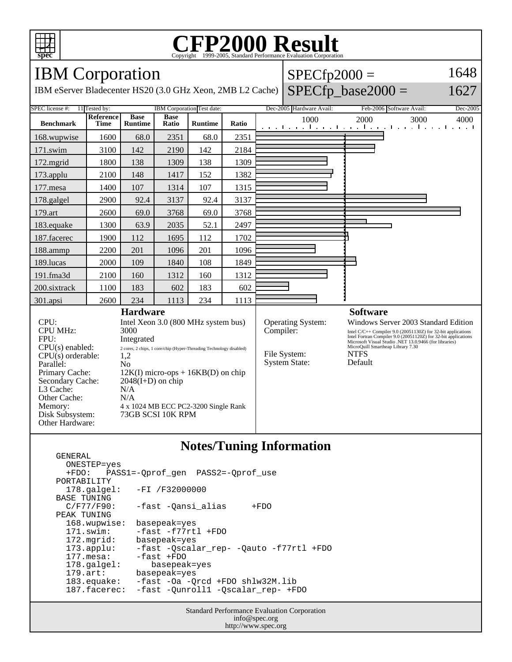

GENERAL

## C<sub>opyright</sub> ©1999-2005, Standard Performance Evaluation Corporation

| <b>IBM</b> Corporation                                                                                                                                                                                       |                          |                                                                                                                                                                                                                                                                                                       |                      |                |       |                 | $SPECfp2000 =$                                                         |                                                                                                                                                                                                                                                                                                 | 1648     |  |
|--------------------------------------------------------------------------------------------------------------------------------------------------------------------------------------------------------------|--------------------------|-------------------------------------------------------------------------------------------------------------------------------------------------------------------------------------------------------------------------------------------------------------------------------------------------------|----------------------|----------------|-------|-----------------|------------------------------------------------------------------------|-------------------------------------------------------------------------------------------------------------------------------------------------------------------------------------------------------------------------------------------------------------------------------------------------|----------|--|
| IBM eServer Bladecenter HS20 (3.0 GHz Xeon, 2MB L2 Cache)                                                                                                                                                    |                          |                                                                                                                                                                                                                                                                                                       |                      |                |       |                 | $SPECfp\_base2000 =$                                                   | 1627                                                                                                                                                                                                                                                                                            |          |  |
| SPEC license #:<br>IBM Corporation Test date:<br>11 Tested by:                                                                                                                                               |                          |                                                                                                                                                                                                                                                                                                       |                      |                |       |                 | Dec-2005 Hardware Avail:                                               | Feb-2006 Software Avail:                                                                                                                                                                                                                                                                        | Dec-2005 |  |
| <b>Benchmark</b>                                                                                                                                                                                             | Reference<br><b>Time</b> | <b>Base</b><br><b>Runtime</b>                                                                                                                                                                                                                                                                         | <b>Base</b><br>Ratio | <b>Runtime</b> | Ratio |                 | 1000                                                                   | 2000<br>3000<br>and the continued of the continued of the continued of the continued of the continued of the continued of the continued of the continued of the continued of the continued of the continued of the continued of the continued                                                   | 4000     |  |
| 168.wupwise                                                                                                                                                                                                  | 1600                     | 68.0                                                                                                                                                                                                                                                                                                  | 2351                 | 68.0           | 2351  |                 |                                                                        |                                                                                                                                                                                                                                                                                                 |          |  |
| 171.swim                                                                                                                                                                                                     | 3100                     | 142                                                                                                                                                                                                                                                                                                   | 2190                 | 142            | 2184  |                 |                                                                        |                                                                                                                                                                                                                                                                                                 |          |  |
| 172.mgrid                                                                                                                                                                                                    | 1800                     | 138                                                                                                                                                                                                                                                                                                   | 1309                 | 138            | 1309  |                 |                                                                        |                                                                                                                                                                                                                                                                                                 |          |  |
| 173.applu                                                                                                                                                                                                    | 2100                     | 148                                                                                                                                                                                                                                                                                                   | 1417                 | 152            | 1382  |                 |                                                                        |                                                                                                                                                                                                                                                                                                 |          |  |
| 177.mesa                                                                                                                                                                                                     | 1400                     | 107                                                                                                                                                                                                                                                                                                   | 1314                 | 107            | 1315  |                 |                                                                        |                                                                                                                                                                                                                                                                                                 |          |  |
| 178.galgel                                                                                                                                                                                                   | 2900                     | 92.4                                                                                                                                                                                                                                                                                                  | 3137                 | 92.4           | 3137  |                 |                                                                        |                                                                                                                                                                                                                                                                                                 |          |  |
| 179.art                                                                                                                                                                                                      | 2600                     | 69.0                                                                                                                                                                                                                                                                                                  | 3768                 | 69.0           | 3768  |                 |                                                                        |                                                                                                                                                                                                                                                                                                 |          |  |
| 183.equake                                                                                                                                                                                                   | 1300                     | 63.9                                                                                                                                                                                                                                                                                                  | 2035                 | 52.1           | 2497  |                 |                                                                        |                                                                                                                                                                                                                                                                                                 |          |  |
| 187.facerec                                                                                                                                                                                                  | 1900                     | 112                                                                                                                                                                                                                                                                                                   | 1695                 | 112            | 1702  |                 |                                                                        |                                                                                                                                                                                                                                                                                                 |          |  |
| 188.ammp                                                                                                                                                                                                     | 2200                     | 201                                                                                                                                                                                                                                                                                                   | 1096                 | 201            | 1096  |                 |                                                                        |                                                                                                                                                                                                                                                                                                 |          |  |
| 189.lucas                                                                                                                                                                                                    | 2000                     | 109                                                                                                                                                                                                                                                                                                   | 1840                 | 108            | 1849  |                 |                                                                        |                                                                                                                                                                                                                                                                                                 |          |  |
| 191.fma3d                                                                                                                                                                                                    | 2100                     | 160                                                                                                                                                                                                                                                                                                   | 1312                 | 160            | 1312  |                 |                                                                        |                                                                                                                                                                                                                                                                                                 |          |  |
| 200.sixtrack                                                                                                                                                                                                 | 1100                     | 183                                                                                                                                                                                                                                                                                                   | 602                  | 183            | 602   |                 |                                                                        |                                                                                                                                                                                                                                                                                                 |          |  |
| 301.apsi                                                                                                                                                                                                     | 2600                     | 234                                                                                                                                                                                                                                                                                                   | 1113                 | 234            | 1113  |                 |                                                                        |                                                                                                                                                                                                                                                                                                 |          |  |
| <b>Hardware</b>                                                                                                                                                                                              |                          |                                                                                                                                                                                                                                                                                                       |                      |                |       | <b>Software</b> |                                                                        |                                                                                                                                                                                                                                                                                                 |          |  |
| CPU:<br><b>CPU MHz:</b><br>FPU:<br>$CPU(s)$ enabled:<br>$CPU(s)$ orderable:<br>Parallel:<br>Primary Cache:<br>Secondary Cache:<br>L3 Cache:<br>Other Cache:<br>Memory:<br>Disk Subsystem:<br>Other Hardware: |                          | Intel Xeon 3.0 (800 MHz system bus)<br>3000<br>Integrated<br>2 cores, 2 chips, 1 core/chip (Hyper-Threading Technology disabled)<br>1,2<br>N <sub>0</sub><br>$12K(I)$ micro-ops + $16KB(D)$ on chip<br>$2048(I+D)$ on chip<br>N/A<br>N/A<br>4 x 1024 MB ECC PC2-3200 Single Rank<br>73GB SCSI 10K RPM |                      |                |       |                 | Operating System:<br>Compiler:<br>File System:<br><b>System State:</b> | Windows Server 2003 Standard Edition<br>Intel C/C++ Compiler 9.0 (20051130Z) for 32-bit applications<br>Intel Fortran Compiler 9.0 (20051120Z) for 32-bit applications<br>Microsoft Visual Studio .NET 13.0.9466 (for libraries)<br>MicroQuill Smartheap Library 7.30<br><b>NTFS</b><br>Default |          |  |

## **Notes/Tuning Information**

 ONESTEP=yes +FDO: PASS1=-Qprof\_gen PASS2=-Qprof\_use PORTABILITY<br>178.qalqel: -FI /F32000000 BASE TUNING<br>C/F77/F90: -fast -Qansi\_alias +FDO PEAK TUNING 168.wupwise: basepeak=yes 171.swim: -fast -f77rtl +FDO<br>172.mgrid: basepeak=yes 172.mgrid: basepeak=yes<br>173.applu: -fast -Qscala 173.applu: -fast -Qscalar\_rep- -Qauto -f77rtl +FDO 177.mesa: -fast +FDO<br>178.galgel: basepeal 178.galgel: basepeak=yes<br>179.art: basepeak=yes 179.art: basepeak=yes<br>183.equake: -fast -Oa -Q 183.equake: -fast -Oa -Qrcd +FDO shlw32M.lib<br>187.facerec: -fast -Qunroll1 -Qscalar\_rep- +F -fast -Qunroll1 -Qscalar\_rep- +FDO

> Standard Performance Evaluation Corporation info@spec.org http://www.spec.org